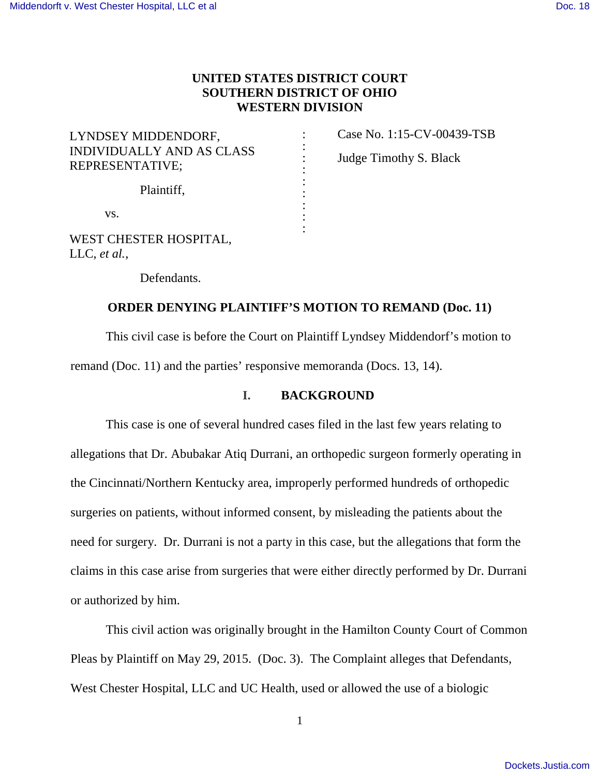# **UNITED STATES DISTRICT COURT SOUTHERN DISTRICT OF OHIO WESTERN DIVISION**

: : : : : : : : :

| LYNDSEY MIDDENDORF,<br><b>INDIVIDUALLY AND AS CLASS</b><br>REPRESENTATIVE; |  |
|----------------------------------------------------------------------------|--|
| Plaintiff,                                                                 |  |
| VS.                                                                        |  |
| WEST CHESTER HOSPITAL,<br>LLC, et al.,                                     |  |

Case No. 1:15-CV-00439-TSB Judge Timothy S. Black

Defendants.

### **ORDER DENYING PLAINTIFF'S MOTION TO REMAND (Doc. 11)**

 This civil case is before the Court on Plaintiff Lyndsey Middendorf's motion to remand (Doc. 11) and the parties' responsive memoranda (Docs. 13, 14).

## **I. BACKGROUND**

 This case is one of several hundred cases filed in the last few years relating to allegations that Dr. Abubakar Atiq Durrani, an orthopedic surgeon formerly operating in the Cincinnati/Northern Kentucky area, improperly performed hundreds of orthopedic surgeries on patients, without informed consent, by misleading the patients about the need for surgery. Dr. Durrani is not a party in this case, but the allegations that form the claims in this case arise from surgeries that were either directly performed by Dr. Durrani or authorized by him.

 This civil action was originally brought in the Hamilton County Court of Common Pleas by Plaintiff on May 29, 2015. (Doc. 3). The Complaint alleges that Defendants, West Chester Hospital, LLC and UC Health, used or allowed the use of a biologic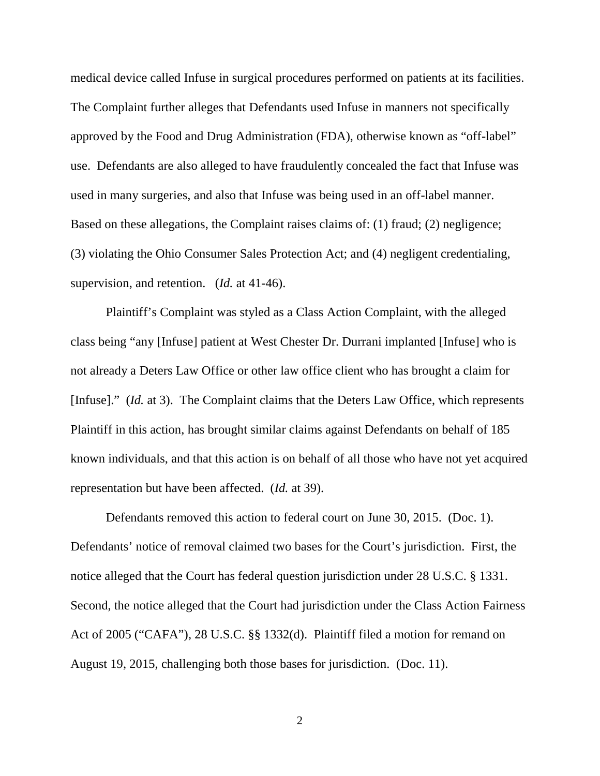medical device called Infuse in surgical procedures performed on patients at its facilities. The Complaint further alleges that Defendants used Infuse in manners not specifically approved by the Food and Drug Administration (FDA), otherwise known as "off-label" use. Defendants are also alleged to have fraudulently concealed the fact that Infuse was used in many surgeries, and also that Infuse was being used in an off-label manner. Based on these allegations, the Complaint raises claims of: (1) fraud; (2) negligence; (3) violating the Ohio Consumer Sales Protection Act; and (4) negligent credentialing, supervision, and retention. (*Id.* at 41-46).

 Plaintiff's Complaint was styled as a Class Action Complaint, with the alleged class being "any [Infuse] patient at West Chester Dr. Durrani implanted [Infuse] who is not already a Deters Law Office or other law office client who has brought a claim for [Infuse]." (*Id.* at 3). The Complaint claims that the Deters Law Office, which represents Plaintiff in this action, has brought similar claims against Defendants on behalf of 185 known individuals, and that this action is on behalf of all those who have not yet acquired representation but have been affected. (*Id.* at 39).

 Defendants removed this action to federal court on June 30, 2015. (Doc. 1). Defendants' notice of removal claimed two bases for the Court's jurisdiction. First, the notice alleged that the Court has federal question jurisdiction under 28 U.S.C. § 1331. Second, the notice alleged that the Court had jurisdiction under the Class Action Fairness Act of 2005 ("CAFA"), 28 U.S.C. §§ 1332(d). Plaintiff filed a motion for remand on August 19, 2015, challenging both those bases for jurisdiction. (Doc. 11).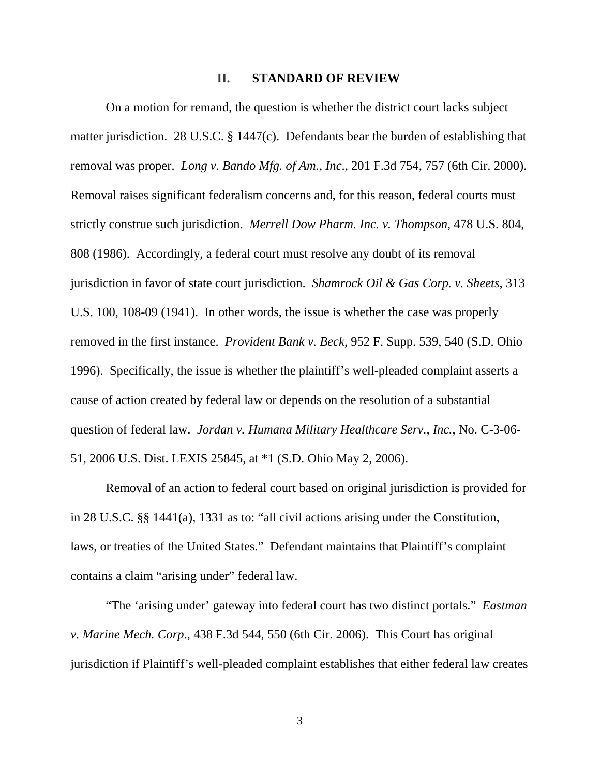#### **II. STANDARD OF REVIEW**

 On a motion for remand, the question is whether the district court lacks subject matter jurisdiction. 28 U.S.C. § 1447(c). Defendants bear the burden of establishing that removal was proper. *Long v. Bando Mfg. of Am., Inc*., 201 F.3d 754, 757 (6th Cir. 2000). Removal raises significant federalism concerns and, for this reason, federal courts must strictly construe such jurisdiction. *Merrell Dow Pharm. Inc. v. Thompson*, 478 U.S. 804, 808 (1986). Accordingly, a federal court must resolve any doubt of its removal jurisdiction in favor of state court jurisdiction. *Shamrock Oil & Gas Corp. v. Sheets*, 313 U.S. 100, 108-09 (1941). In other words, the issue is whether the case was properly removed in the first instance. *Provident Bank v. Beck*, 952 F. Supp. 539, 540 (S.D. Ohio 1996). Specifically, the issue is whether the plaintiff's well-pleaded complaint asserts a cause of action created by federal law or depends on the resolution of a substantial question of federal law. *Jordan v. Humana Military Healthcare Serv., Inc.*, No. C-3-06- 51, 2006 U.S. Dist. LEXIS 25845, at \*1 (S.D. Ohio May 2, 2006).

 Removal of an action to federal court based on original jurisdiction is provided for in 28 U.S.C. §§ 1441(a), 1331 as to: "all civil actions arising under the Constitution, laws, or treaties of the United States." Defendant maintains that Plaintiff's complaint contains a claim "arising under" federal law.

 "The 'arising under' gateway into federal court has two distinct portals." *Eastman v. Marine Mech. Corp*., 438 F.3d 544, 550 (6th Cir. 2006). This Court has original jurisdiction if Plaintiff's well-pleaded complaint establishes that either federal law creates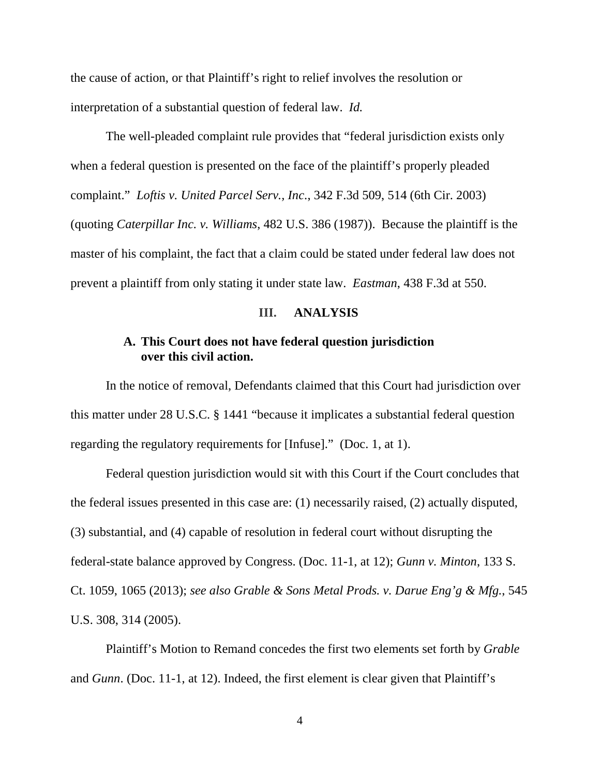the cause of action, or that Plaintiff's right to relief involves the resolution or interpretation of a substantial question of federal law. *Id.*

 The well-pleaded complaint rule provides that "federal jurisdiction exists only when a federal question is presented on the face of the plaintiff's properly pleaded complaint." *Loftis v. United Parcel Serv., Inc*., 342 F.3d 509, 514 (6th Cir. 2003) (quoting *Caterpillar Inc. v. Williams*, 482 U.S. 386 (1987)). Because the plaintiff is the master of his complaint, the fact that a claim could be stated under federal law does not prevent a plaintiff from only stating it under state law. *Eastman*, 438 F.3d at 550.

#### **III. ANALYSIS**

## **A. This Court does not have federal question jurisdiction over this civil action.**

 In the notice of removal, Defendants claimed that this Court had jurisdiction over this matter under 28 U.S.C. § 1441 "because it implicates a substantial federal question regarding the regulatory requirements for [Infuse]." (Doc. 1, at 1).

 Federal question jurisdiction would sit with this Court if the Court concludes that the federal issues presented in this case are: (1) necessarily raised, (2) actually disputed, (3) substantial, and (4) capable of resolution in federal court without disrupting the federal-state balance approved by Congress. (Doc. 11-1, at 12); *Gunn v. Minton*, 133 S. Ct. 1059, 1065 (2013); *see also Grable & Sons Metal Prods. v. Darue Eng'g & Mfg.*, 545 U.S. 308, 314 (2005).

 Plaintiff's Motion to Remand concedes the first two elements set forth by *Grable*  and *Gunn*. (Doc. 11-1, at 12). Indeed, the first element is clear given that Plaintiff's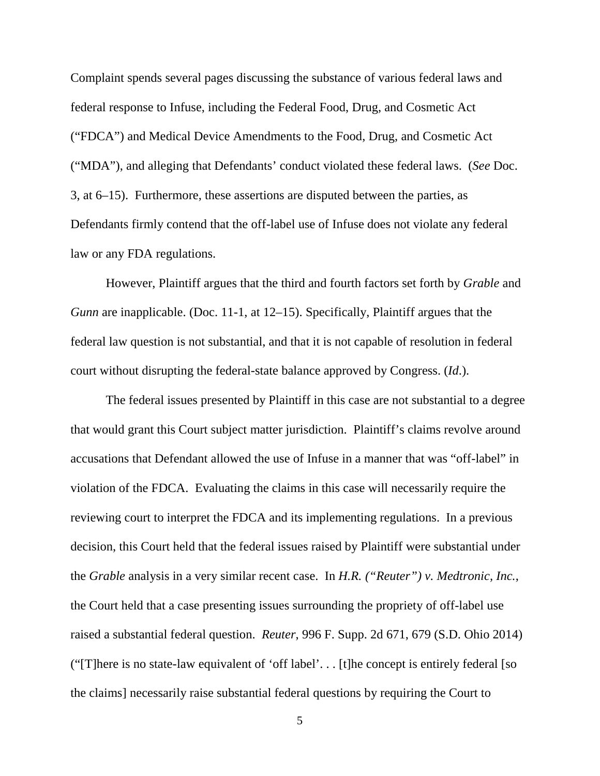Complaint spends several pages discussing the substance of various federal laws and federal response to Infuse, including the Federal Food, Drug, and Cosmetic Act ("FDCA") and Medical Device Amendments to the Food, Drug, and Cosmetic Act ("MDA"), and alleging that Defendants' conduct violated these federal laws. (*See* Doc. 3, at 6–15).Furthermore, these assertions are disputed between the parties, as Defendants firmly contend that the off-label use of Infuse does not violate any federal law or any FDA regulations.

 However, Plaintiff argues that the third and fourth factors set forth by *Grable* and *Gunn* are inapplicable. (Doc. 11-1, at 12–15). Specifically, Plaintiff argues that the federal law question is not substantial, and that it is not capable of resolution in federal court without disrupting the federal-state balance approved by Congress. (*Id*.).

 The federal issues presented by Plaintiff in this case are not substantial to a degree that would grant this Court subject matter jurisdiction. Plaintiff's claims revolve around accusations that Defendant allowed the use of Infuse in a manner that was "off-label" in violation of the FDCA. Evaluating the claims in this case will necessarily require the reviewing court to interpret the FDCA and its implementing regulations. In a previous decision, this Court held that the federal issues raised by Plaintiff were substantial under the *Grable* analysis in a very similar recent case. In *H.R. ("Reuter") v. Medtronic, Inc.*, the Court held that a case presenting issues surrounding the propriety of off-label use raised a substantial federal question. *Reuter*, 996 F. Supp. 2d 671, 679 (S.D. Ohio 2014) ("[T]here is no state-law equivalent of 'off label'. . . [t]he concept is entirely federal [so the claims] necessarily raise substantial federal questions by requiring the Court to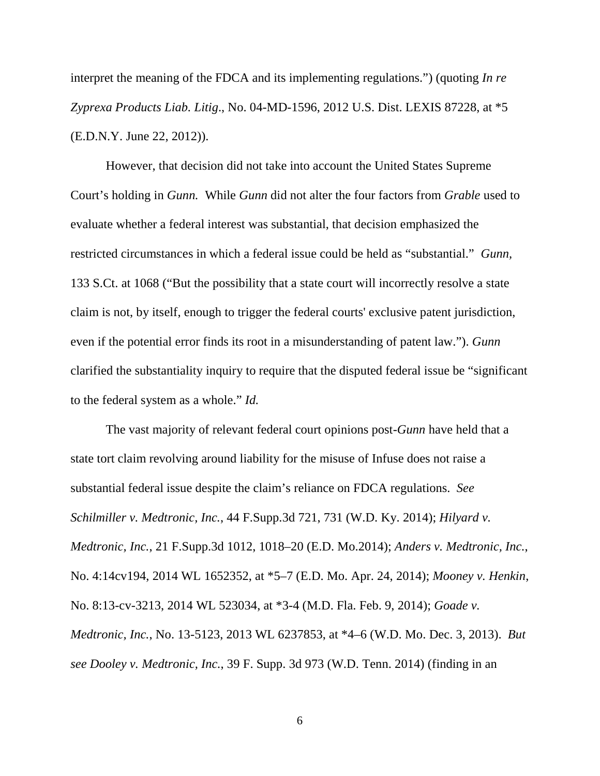interpret the meaning of the FDCA and its implementing regulations.") (quoting *In re Zyprexa Products Liab. Litig*., No. 04-MD-1596, 2012 U.S. Dist. LEXIS 87228, at \*5 (E.D.N.Y. June 22, 2012)).

 However, that decision did not take into account the United States Supreme Court's holding in *Gunn.* While *Gunn* did not alter the four factors from *Grable* used to evaluate whether a federal interest was substantial, that decision emphasized the restricted circumstances in which a federal issue could be held as "substantial." *Gunn,* 133 S.Ct. at 1068 ("But the possibility that a state court will incorrectly resolve a state claim is not, by itself, enough to trigger the federal courts' exclusive patent jurisdiction, even if the potential error finds its root in a misunderstanding of patent law."). *Gunn* clarified the substantiality inquiry to require that the disputed federal issue be "significant to the federal system as a whole." *Id.*

 The vast majority of relevant federal court opinions post-*Gunn* have held that a state tort claim revolving around liability for the misuse of Infuse does not raise a substantial federal issue despite the claim's reliance on FDCA regulations. *See Schilmiller v. Medtronic, Inc.*, 44 F.Supp.3d 721, 731 (W.D. Ky. 2014); *Hilyard v. Medtronic, Inc.*, 21 F.Supp.3d 1012, 1018–20 (E.D. Mo.2014); *Anders v. Medtronic, Inc.*, No. 4:14cv194, 2014 WL 1652352, at \*5–7 (E.D. Mo. Apr. 24, 2014); *Mooney v. Henkin*, No. 8:13-cv-3213, 2014 WL 523034, at \*3-4 (M.D. Fla. Feb. 9, 2014); *Goade v. Medtronic, Inc.*, No. 13-5123, 2013 WL 6237853, at \*4–6 (W.D. Mo. Dec. 3, 2013). *But see Dooley v. Medtronic, Inc.*, 39 F. Supp. 3d 973 (W.D. Tenn. 2014) (finding in an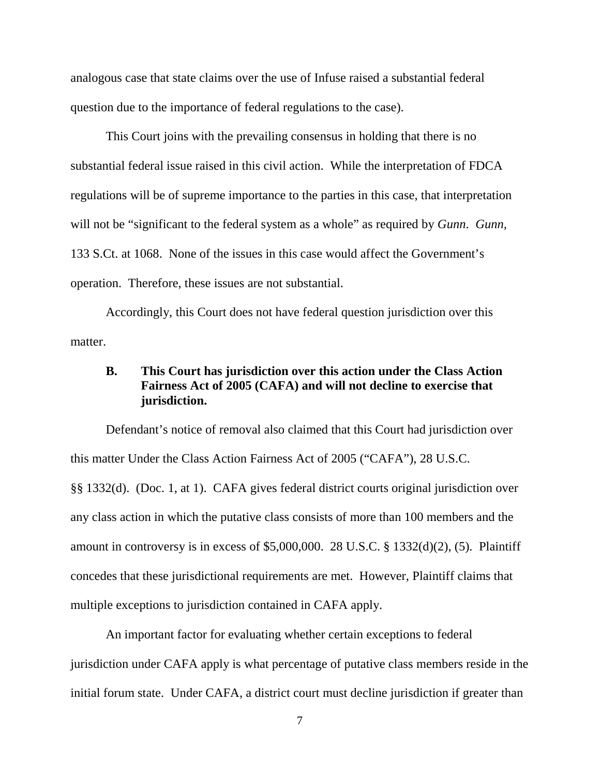analogous case that state claims over the use of Infuse raised a substantial federal question due to the importance of federal regulations to the case).

 This Court joins with the prevailing consensus in holding that there is no substantial federal issue raised in this civil action. While the interpretation of FDCA regulations will be of supreme importance to the parties in this case, that interpretation will not be "significant to the federal system as a whole" as required by *Gunn*. *Gunn,* 133 S.Ct. at 1068. None of the issues in this case would affect the Government's operation. Therefore, these issues are not substantial.

 Accordingly, this Court does not have federal question jurisdiction over this matter.

## **B. This Court has jurisdiction over this action under the Class Action Fairness Act of 2005 (CAFA) and will not decline to exercise that jurisdiction.**

 Defendant's notice of removal also claimed that this Court had jurisdiction over this matter Under the Class Action Fairness Act of 2005 ("CAFA"), 28 U.S.C. §§ 1332(d). (Doc. 1, at 1). CAFA gives federal district courts original jurisdiction over any class action in which the putative class consists of more than 100 members and the amount in controversy is in excess of  $$5,000,000$ . 28 U.S.C. § 1332(d)(2), (5). Plaintiff concedes that these jurisdictional requirements are met. However, Plaintiff claims that multiple exceptions to jurisdiction contained in CAFA apply.

 An important factor for evaluating whether certain exceptions to federal jurisdiction under CAFA apply is what percentage of putative class members reside in the initial forum state. Under CAFA, a district court must decline jurisdiction if greater than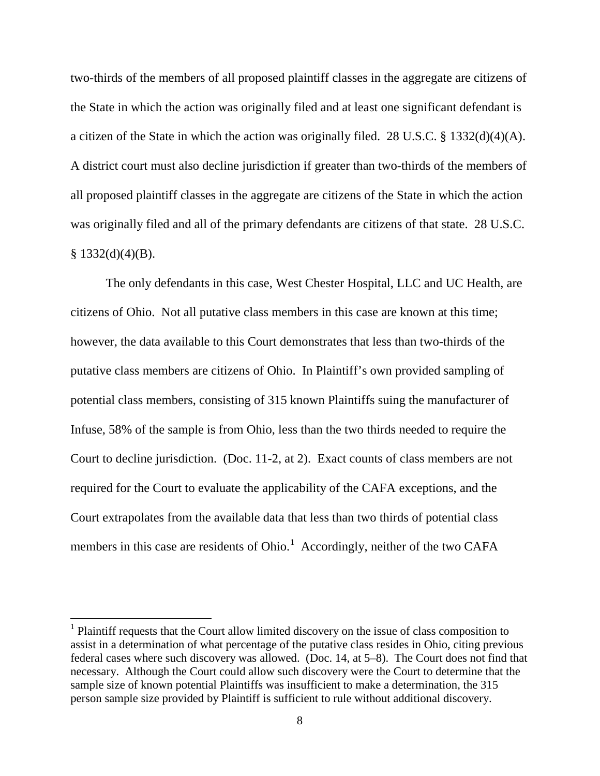two-thirds of the members of all proposed plaintiff classes in the aggregate are citizens of the State in which the action was originally filed and at least one significant defendant is a citizen of the State in which the action was originally filed. 28 U.S.C. § 1332(d)(4)(A). A district court must also decline jurisdiction if greater than two-thirds of the members of all proposed plaintiff classes in the aggregate are citizens of the State in which the action was originally filed and all of the primary defendants are citizens of that state. 28 U.S.C.  $§$  1332(d)(4)(B).

 The only defendants in this case, West Chester Hospital, LLC and UC Health, are citizens of Ohio. Not all putative class members in this case are known at this time; however, the data available to this Court demonstrates that less than two-thirds of the putative class members are citizens of Ohio. In Plaintiff's own provided sampling of potential class members, consisting of 315 known Plaintiffs suing the manufacturer of Infuse, 58% of the sample is from Ohio, less than the two thirds needed to require the Court to decline jurisdiction. (Doc. 11-2, at 2). Exact counts of class members are not required for the Court to evaluate the applicability of the CAFA exceptions, and the Court extrapolates from the available data that less than two thirds of potential class members in this case are residents of Ohio.<sup>1</sup> Accordingly, neither of the two CAFA

<u>.</u>

<sup>&</sup>lt;sup>1</sup> Plaintiff requests that the Court allow limited discovery on the issue of class composition to assist in a determination of what percentage of the putative class resides in Ohio, citing previous federal cases where such discovery was allowed. (Doc. 14, at 5–8). The Court does not find that necessary. Although the Court could allow such discovery were the Court to determine that the sample size of known potential Plaintiffs was insufficient to make a determination, the 315 person sample size provided by Plaintiff is sufficient to rule without additional discovery.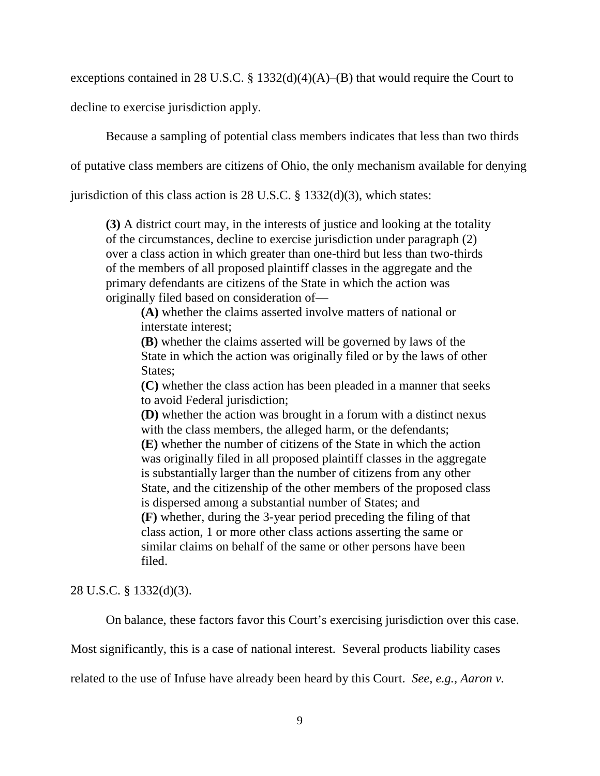exceptions contained in 28 U.S.C. § 1332(d)(4)(A)–(B) that would require the Court to

decline to exercise jurisdiction apply.

Because a sampling of potential class members indicates that less than two thirds

of putative class members are citizens of Ohio, the only mechanism available for denying

jurisdiction of this class action is  $28 \text{ U.S.C. }$  §  $1332(d)(3)$ , which states:

**(3)** A district court may, in the interests of justice and looking at the totality of the circumstances, decline to exercise jurisdiction under paragraph (2) over a class action in which greater than one-third but less than two-thirds of the members of all proposed plaintiff classes in the aggregate and the primary defendants are citizens of the State in which the action was originally filed based on consideration of—

 **(A)** whether the claims asserted involve matters of national or interstate interest;

 **(B)** whether the claims asserted will be governed by laws of the State in which the action was originally filed or by the laws of other States;

 **(C)** whether the class action has been pleaded in a manner that seeks to avoid Federal jurisdiction;

 **(D)** whether the action was brought in a forum with a distinct nexus with the class members, the alleged harm, or the defendants;

 **(E)** whether the number of citizens of the State in which the action was originally filed in all proposed plaintiff classes in the aggregate is substantially larger than the number of citizens from any other State, and the citizenship of the other members of the proposed class is dispersed among a substantial number of States; and  **(F)** whether, during the 3-year period preceding the filing of that class action, 1 or more other class actions asserting the same or similar claims on behalf of the same or other persons have been filed.

28 U.S.C. § 1332(d)(3).

On balance, these factors favor this Court's exercising jurisdiction over this case.

Most significantly, this is a case of national interest. Several products liability cases

related to the use of Infuse have already been heard by this Court. *See, e.g., Aaron v.*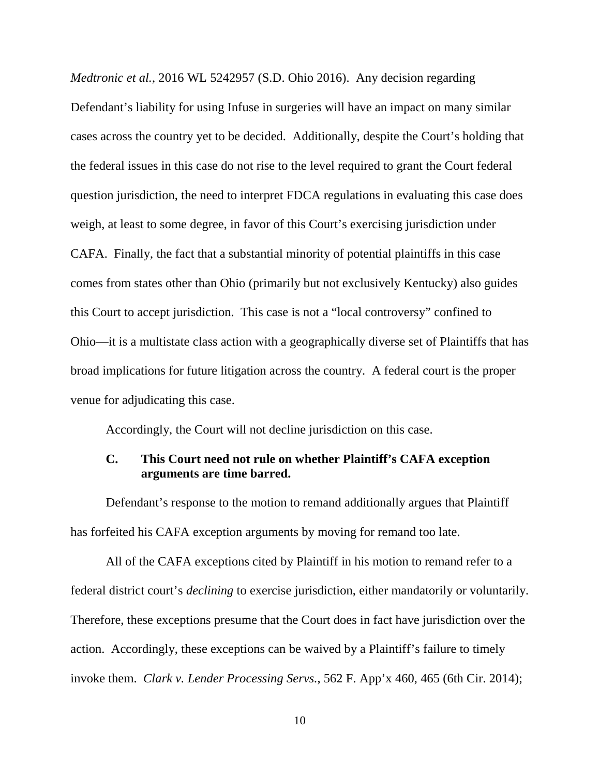*Medtronic et al.*, 2016 WL 5242957 (S.D. Ohio 2016). Any decision regarding Defendant's liability for using Infuse in surgeries will have an impact on many similar cases across the country yet to be decided. Additionally, despite the Court's holding that the federal issues in this case do not rise to the level required to grant the Court federal question jurisdiction, the need to interpret FDCA regulations in evaluating this case does weigh, at least to some degree, in favor of this Court's exercising jurisdiction under CAFA. Finally, the fact that a substantial minority of potential plaintiffs in this case comes from states other than Ohio (primarily but not exclusively Kentucky) also guides this Court to accept jurisdiction. This case is not a "local controversy" confined to Ohio—it is a multistate class action with a geographically diverse set of Plaintiffs that has broad implications for future litigation across the country. A federal court is the proper venue for adjudicating this case.

Accordingly, the Court will not decline jurisdiction on this case.

# **C. This Court need not rule on whether Plaintiff's CAFA exception arguments are time barred.**

 Defendant's response to the motion to remand additionally argues that Plaintiff has forfeited his CAFA exception arguments by moving for remand too late.

 All of the CAFA exceptions cited by Plaintiff in his motion to remand refer to a federal district court's *declining* to exercise jurisdiction, either mandatorily or voluntarily. Therefore, these exceptions presume that the Court does in fact have jurisdiction over the action. Accordingly, these exceptions can be waived by a Plaintiff's failure to timely invoke them. *Clark v. Lender Processing Servs.*, 562 F. App'x 460, 465 (6th Cir. 2014);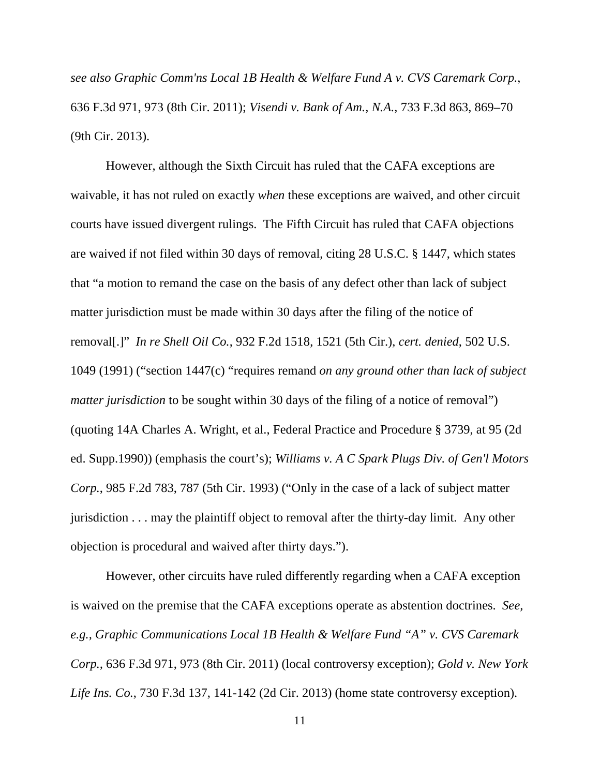*see also Graphic Comm'ns Local 1B Health & Welfare Fund A v. CVS Caremark Corp.*, 636 F.3d 971, 973 (8th Cir. 2011); *Visendi v. Bank of Am., N.A.*, 733 F.3d 863, 869–70 (9th Cir. 2013).

 However, although the Sixth Circuit has ruled that the CAFA exceptions are waivable, it has not ruled on exactly *when* these exceptions are waived, and other circuit courts have issued divergent rulings. The Fifth Circuit has ruled that CAFA objections are waived if not filed within 30 days of removal, citing 28 U.S.C. § 1447, which states that "a motion to remand the case on the basis of any defect other than lack of subject matter jurisdiction must be made within 30 days after the filing of the notice of removal[.]" *In re Shell Oil Co.*, 932 F.2d 1518, 1521 (5th Cir.), *cert. denied*, 502 U.S. 1049 (1991) ("section 1447(c) "requires remand *on any ground other than lack of subject matter jurisdiction* to be sought within 30 days of the filing of a notice of removal") (quoting 14A Charles A. Wright, et al., Federal Practice and Procedure § 3739, at 95 (2d ed. Supp.1990)) (emphasis the court's); *Williams v. A C Spark Plugs Div. of Gen'l Motors Corp.*, 985 F.2d 783, 787 (5th Cir. 1993) ("Only in the case of a lack of subject matter jurisdiction . . . may the plaintiff object to removal after the thirty-day limit. Any other objection is procedural and waived after thirty days.").

 However, other circuits have ruled differently regarding when a CAFA exception is waived on the premise that the CAFA exceptions operate as abstention doctrines. *See, e.g., Graphic Communications Local 1B Health & Welfare Fund "A" v. CVS Caremark Corp.,* 636 F.3d 971, 973 (8th Cir. 2011) (local controversy exception); *Gold v. New York Life Ins. Co.*, 730 F.3d 137, 141-142 (2d Cir. 2013) (home state controversy exception).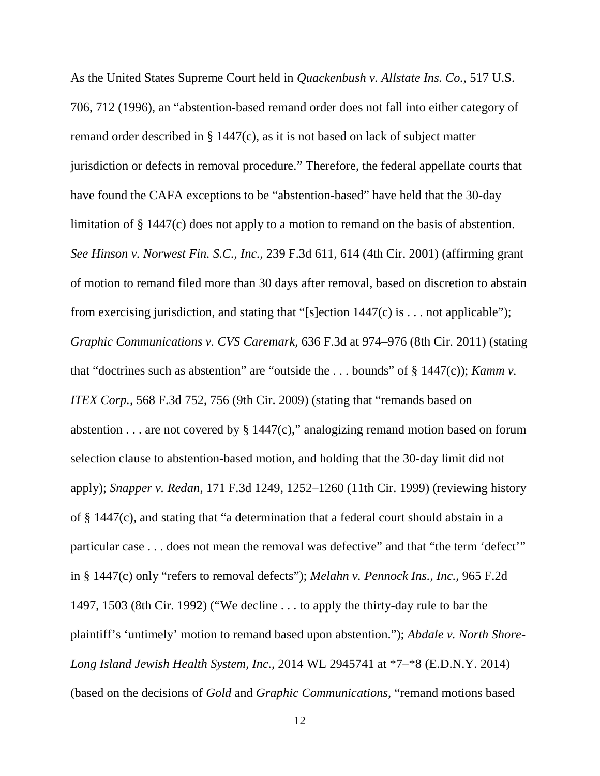As the United States Supreme Court held in *Quackenbush v. Allstate Ins. Co.,* 517 U.S. 706, 712 (1996), an "abstention-based remand order does not fall into either category of remand order described in § 1447(c), as it is not based on lack of subject matter jurisdiction or defects in removal procedure." Therefore, the federal appellate courts that have found the CAFA exceptions to be "abstention-based" have held that the 30-day limitation of § 1447(c) does not apply to a motion to remand on the basis of abstention. *See Hinson v. Norwest Fin. S.C., Inc.,* 239 F.3d 611, 614 (4th Cir. 2001) (affirming grant of motion to remand filed more than 30 days after removal, based on discretion to abstain from exercising jurisdiction, and stating that "[s]ection  $1447(c)$  is ... not applicable"); *Graphic Communications v. CVS Caremark,* 636 F.3d at 974–976 (8th Cir. 2011) (stating that "doctrines such as abstention" are "outside the . . . bounds" of § 1447(c)); *Kamm v. ITEX Corp.,* 568 F.3d 752, 756 (9th Cir. 2009) (stating that "remands based on abstention  $\dots$  are not covered by § 1447(c)," analogizing remand motion based on forum selection clause to abstention-based motion, and holding that the 30-day limit did not apply); *Snapper v. Redan,* 171 F.3d 1249, 1252–1260 (11th Cir. 1999) (reviewing history of § 1447(c), and stating that "a determination that a federal court should abstain in a particular case . . . does not mean the removal was defective" and that "the term 'defect'" in § 1447(c) only "refers to removal defects"); *Melahn v. Pennock Ins., Inc.,* 965 F.2d 1497, 1503 (8th Cir. 1992) ("We decline . . . to apply the thirty-day rule to bar the plaintiff's 'untimely' motion to remand based upon abstention."); *Abdale v. North Shore-Long Island Jewish Health System, Inc.,* 2014 WL 2945741 at \*7–\*8 (E.D.N.Y. 2014) (based on the decisions of *Gold* and *Graphic Communications*, "remand motions based